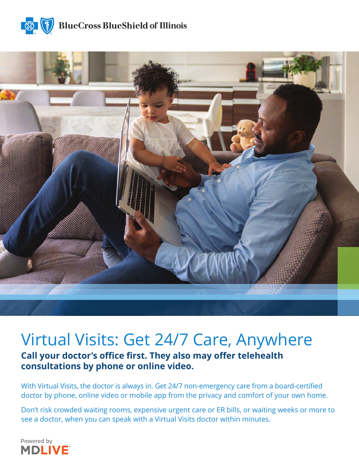



## Virtual Visits: Get 24/7 Care, Anywhere

**Call your doctor's office first. They also may offer telehealth consultations by phone or online video.**

With Virtual Visits, the doctor is always in. Get 24/7 non-emergency care from a board-certified doctor by phone, online video or mobile app from the privacy and comfort of your own home.

Don't risk crowded waiting rooms, expensive urgent care or ER bills, or waiting weeks or more to see a doctor, when you can speak with a Virtual Visits doctor within minutes.